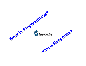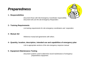# *Preparedness*

### **1 - Responsibilities**



*Document those with Site Emergency Coordinator responsibility. Document who are the site Emergency Responders*

### **2 - Training Requirements**

*List training requirements for site emergency coordinators and responders*

#### **3 - Mutual Aid**

*Reference mutual aid agreements with others.* 

### **4 - Quantity, location, description, intended use and capabilities of emergency plan**

*Link to appropriate sections of the site emergency response manual*

### **5 - Equipment Maintenance Testing**

*Document systems used to determine record maintenance of emergency preparedness equipment.*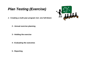# *Plan Testing (Exercise)*

*1 -* **Creating a multi-year program incl. one full-blown**

- **2 - Annual exercise planning**
- **3 - Holding the exercise**
- **4 - Evaluating the outcomes**
- **5 - Reporting**

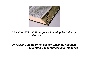

### **CAN/CSA-Z731-95** *Emergency Planning for Industry* **CDS/MIACC**

### **UN OECD Guiding Principles for** *Chemical Accident Prevention, Preparedness and Response*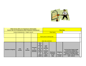

| <b>CEPA Section 200 List of Substances (Flammable)</b><br><b>Section 200 List of Substances (Other Hazardous Substances)</b> |                      |                            |                                              |                                                                                                                       | <b>Plant Data</b>                                                                            |                                                       |                                              |                                                                                                                                                                                             |
|------------------------------------------------------------------------------------------------------------------------------|----------------------|----------------------------|----------------------------------------------|-----------------------------------------------------------------------------------------------------------------------|----------------------------------------------------------------------------------------------|-------------------------------------------------------|----------------------------------------------|---------------------------------------------------------------------------------------------------------------------------------------------------------------------------------------------|
| (ordered Alphabetically - English names)                                                                                     |                      |                            |                                              |                                                                                                                       | <b>Plant Name:</b>                                                                           |                                                       |                                              |                                                                                                                                                                                             |
|                                                                                                                              |                      |                            |                                              | Name person entering data                                                                                             |                                                                                              |                                                       |                                              |                                                                                                                                                                                             |
|                                                                                                                              |                      |                            |                                              | Date data submitted:                                                                                                  |                                                                                              |                                                       |                                              |                                                                                                                                                                                             |
| <b>Substance (English)</b>                                                                                                   | <b>CAS</b><br>number | <b>UN</b><br><b>Number</b> | <b>Threshol</b><br>d<br>Quantity<br>(tonnes) | <b>Does</b><br>the<br><b>Chemi</b><br>cal<br>exist in<br>your<br>facility<br>('Yes'<br><b>or</b><br>'leave<br>blank') | <b>Less</b><br>than<br>threshol<br>d<br>concentr<br>ation?<br>('Yes' or<br>'leave<br>blank') | <b>Maximum</b><br><b>Inventory</b><br>in unit<br>(Kg) | <b>Shipping</b><br><b>Receivin</b><br>q mode | List the three largest single<br>inventories isolated by<br>manual or automated valves.<br><b>Vessel ID and Mass (Kg)</b><br>(note: create a new line using<br><alt> <enter>)</enter></alt> |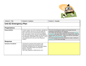

| <b>Column A - Title</b>     | <b>Column B - Guidance</b>                                                                                                                                                                                                                                                                                                                                                                                      | <b>Column C - Example</b>                                                                                                                                                                                                                                                                                                                                                                                                                                    |  |  |  |  |  |
|-----------------------------|-----------------------------------------------------------------------------------------------------------------------------------------------------------------------------------------------------------------------------------------------------------------------------------------------------------------------------------------------------------------------------------------------------------------|--------------------------------------------------------------------------------------------------------------------------------------------------------------------------------------------------------------------------------------------------------------------------------------------------------------------------------------------------------------------------------------------------------------------------------------------------------------|--|--|--|--|--|
| Unit E2 Emergency Plan      |                                                                                                                                                                                                                                                                                                                                                                                                                 |                                                                                                                                                                                                                                                                                                                                                                                                                                                              |  |  |  |  |  |
| <b>Preparedness</b>         |                                                                                                                                                                                                                                                                                                                                                                                                                 |                                                                                                                                                                                                                                                                                                                                                                                                                                                              |  |  |  |  |  |
| <b>Responsibilities</b>     | E2 plans require a list of the individuals, identified by<br>name or position, who are to carry into effect the<br>plan in the event of an environmental emergency<br>and a description of their roles and responsibilities.<br>The unit Crisis Response Leaders are the plant front<br>line individuals responsible for the response. Link to<br>role assignment list or list unit Crisis Response<br>Leaders. | The unit Crisis Response Leaders are the plant front line<br>individuals responsible for the response.<br>The Global role description is available from the Dow Manage<br><b>Production web page (select Roles and Global Roles under the</b><br>operate plant work process - where you will find a description<br>of the Crisis Response Leader role)<br>The work process for the Crisis Response Leader is defined in<br>section 5.0 of the same web page. |  |  |  |  |  |
| <b>Response</b>             |                                                                                                                                                                                                                                                                                                                                                                                                                 |                                                                                                                                                                                                                                                                                                                                                                                                                                                              |  |  |  |  |  |
| <b>Scenarios Considered</b> | Concisely list scenarios which pertain to the<br>chemical inventories that exceed the CEPA<br>thresholds considered such as: Flammable release<br>and fire, Flammable release and explosion,<br>Releases, Spills etc.<br>This is also required in ODMS 06.04.L1.B.1                                                                                                                                             |                                                                                                                                                                                                                                                                                                                                                                                                                                                              |  |  |  |  |  |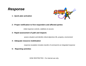## *Response*



**1 - Quick plan activation**

### **2 - Proper notification to first responders and affected parties**

*initial response controls, stabilizes & secures*

### **3 - Rapid assessment of path and impacts**

*assess situation and identify critical objectives life, property, environment*

### **4 - Adequate resource mobilization**

*response escalation includes transfer of command & an integrated response* 

### **5 - Reporting activities**

DOW RESTRICTED - For internal use only